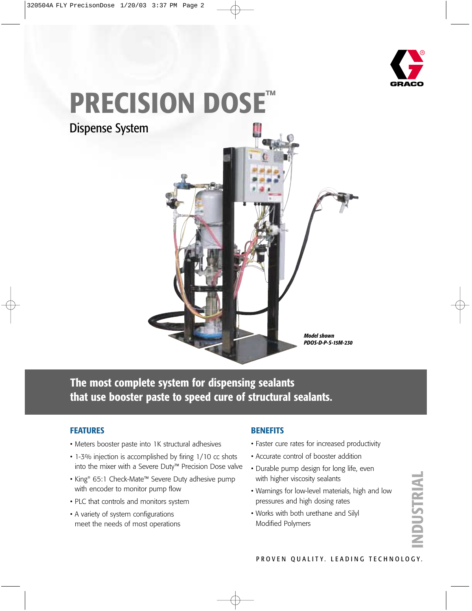

# **PRECISION DOSE™**

Dispense System



**The most complete system for dispensing sealants that use booster paste to speed cure of structural sealants.**

#### **FEATURES**

- Meters booster paste into 1K structural adhesives
- 1-3% injection is accomplished by firing 1/10 cc shots into the mixer with a Severe Duty™ Precision Dose valve
- King® 65:1 Check-Mate™ Severe Duty adhesive pump with encoder to monitor pump flow
- PLC that controls and monitors system
- A variety of system configurations meet the needs of most operations

#### **BENEFITS**

- Faster cure rates for increased productivity
- Accurate control of booster addition
- Durable pump design for long life, even with higher viscosity sealants
- Warnings for low-level materials, high and low pressures and high dosing rates
- Works with both urethane and Silyl Modified Polymers

**INDUSTRIAL** NDUSTRIAL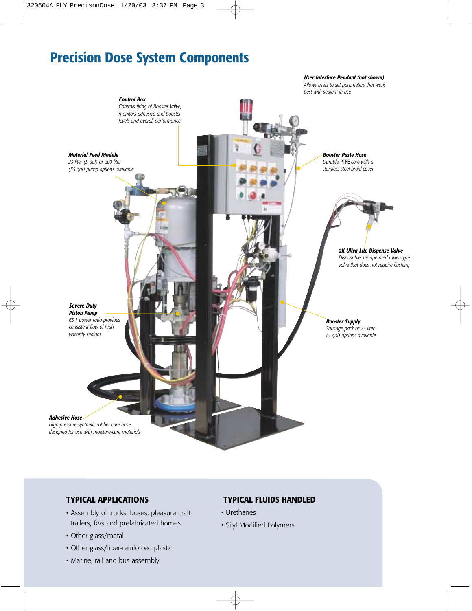## **Precision Dose System Components**



#### **TYPICAL APPLICATIONS**

- Assembly of trucks, buses, pleasure craft trailers, RVs and prefabricated homes
- Other glass/metal
- Other glass/fiber-reinforced plastic
- Marine, rail and bus assembly

#### **TYPICAL FLUIDS HANDLED**

- Urethanes
- Silyl Modified Polymers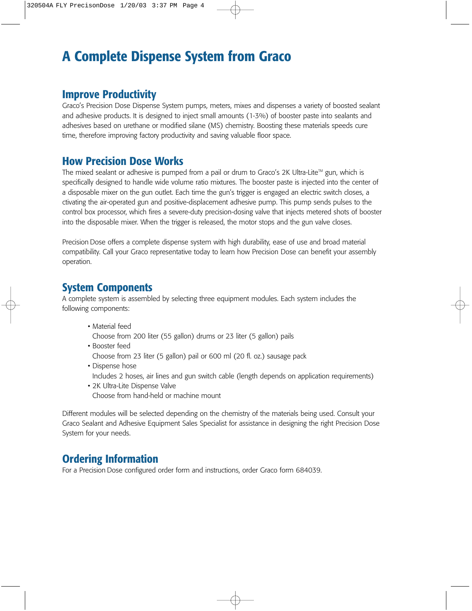## **A Complete Dispense System from Graco**

#### **Improve Productivity**

Graco's Precision Dose Dispense System pumps, meters, mixes and dispenses a variety of boosted sealant and adhesive products. It is designed to inject small amounts (1-3%) of booster paste into sealants and adhesives based on urethane or modified silane (MS) chemistry. Boosting these materials speeds cure time, therefore improving factory productivity and saving valuable floor space.

#### **How Precision Dose Works**

The mixed sealant or adhesive is pumped from a pail or drum to Graco's 2K Ultra-Lite<sup>TM</sup> gun, which is specifically designed to handle wide volume ratio mixtures. The booster paste is injected into the center of a disposable mixer on the gun outlet. Each time the gun's trigger is engaged an electric switch closes, a ctivating the air-operated gun and positive-displacement adhesive pump. This pump sends pulses to the control box processor, which fires a severe-duty precision-dosing valve that injects metered shots of booster into the disposable mixer. When the trigger is released, the motor stops and the gun valve closes.

Precision Dose offers a complete dispense system with high durability, ease of use and broad material compatibility. Call your Graco representative today to learn how Precision Dose can benefit your assembly operation.

#### **System Components**

A complete system is assembled by selecting three equipment modules. Each system includes the following components:

• Material feed

Choose from 200 liter (55 gallon) drums or 23 liter (5 gallon) pails

• Booster feed

Choose from 23 liter (5 gallon) pail or 600 ml (20 fl. oz.) sausage pack

• Dispense hose

Includes 2 hoses, air lines and gun switch cable (length depends on application requirements)

• 2K Ultra-Lite Dispense Valve Choose from hand-held or machine mount

Different modules will be selected depending on the chemistry of the materials being used. Consult your Graco Sealant and Adhesive Equipment Sales Specialist for assistance in designing the right Precision Dose System for your needs.

#### **Ordering Information**

For a Precision Dose configured order form and instructions, order Graco form 684039.